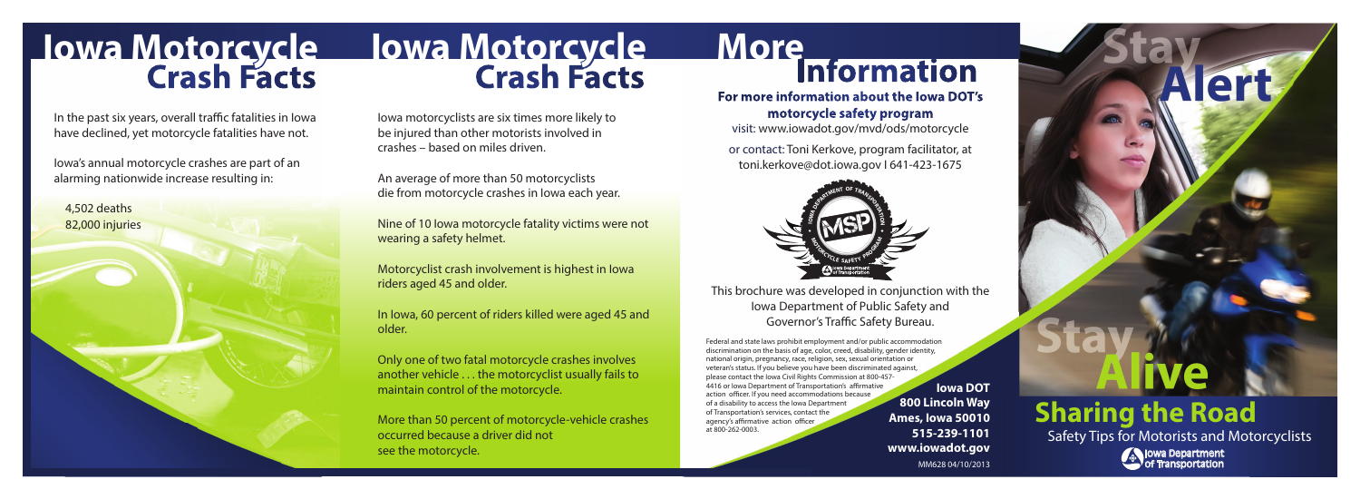## **Crash Facts Crash Facts Iowa Motorcycle Iowa Motorcycle**

In the past six years, overall traffic fatalities in Iowa have declined, yet motorcycle fatalities have not.

Iowa's annual motorcycle crashes are part of an alarming nationwide increase resulting in:

4,502 deaths 82,000 injuries Iowa motorcyclists are six times more likely to be injured than other motorists involved in crashes – based on miles driven.

An average of more than 50 motorcyclists die from motorcycle crashes in Iowa each year.

Nine of 10 Iowa motorcycle fatality victims were not wearing a safety helmet.

Motorcyclist crash involvement is highest in Iowa riders aged 45 and older.

In Iowa, 60 percent of riders killed were aged 45 and older.

Only one of two fatal motorcycle crashes involves another vehicle . . . the motorcyclist usually fails to maintain control of the motorcycle.

More than 50 percent of motorcycle-vehicle crashes occurred because a driver did not see the motorcycle.

### **Information More**

**For more information about the Iowa DOT's motorcycle safety program** visit: www.iowadot.gov/mvd/ods/motorcycle

or contact: Toni Kerkove, program facilitator, at toni.kerkove@dot.iowa.gov I 641-423-1675



This brochure was developed in conjunction with the Iowa Department of Public Safety and Governor's Traffic Safety Bureau.

Federal and state laws prohibit employment and/or public accommodation discrimination on the basis of age, color, creed, disability, gender identity, national origin, pregnancy, race, religion, sex, sexual orientation or veteran's status. If you believe you have been discriminated against, please contact the Iowa Civil Rights Commission at 800-457- 4416 or Iowa Department of Transportation's affirmative action officer. If you need accommodations because of a disability to access the Iowa Department of Transportation's services, contact the agency's affirmative action officer at 800-262-0003.

**Iowa DOT 800 Lincoln Way Ames, Iowa 50010 515-239-1101 www.iowadot.gov** MM628 04/10/2013

**Sharing the Road** Safety Tips for Motorists and Motorcyclists

Iowa Department of Transportation